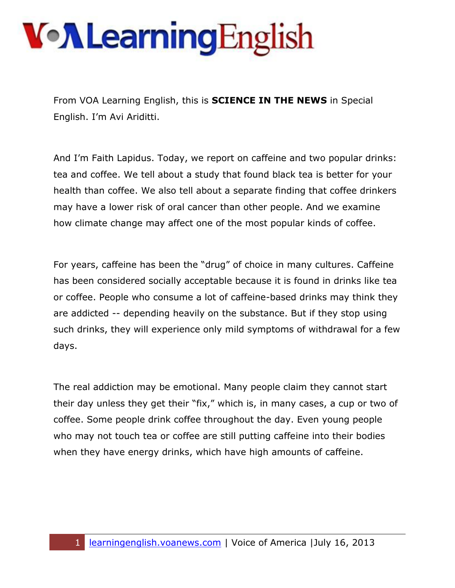From VOA Learning English, this is **SCIENCE IN THE NEWS** in Special English. I'm Avi Ariditti.

And I'm Faith Lapidus. Today, we report on caffeine and two popular drinks: tea and coffee. We tell about a study that found black tea is better for your health than coffee. We also tell about a separate finding that coffee drinkers may have a lower risk of oral cancer than other people. And we examine how climate change may affect one of the most popular kinds of coffee.

For years, caffeine has been the "drug" of choice in many cultures. Caffeine has been considered socially acceptable because it is found in drinks like tea or coffee. People who consume a lot of caffeine-based drinks may think they are addicted -- depending heavily on the substance. But if they stop using such drinks, they will experience only mild symptoms of withdrawal for a few days.

The real addiction may be emotional. Many people claim they cannot start their day unless they get their "fix," which is, in many cases, a cup or two of coffee. Some people drink coffee throughout the day. Even young people who may not touch tea or coffee are still putting caffeine into their bodies when they have energy drinks, which have high amounts of caffeine.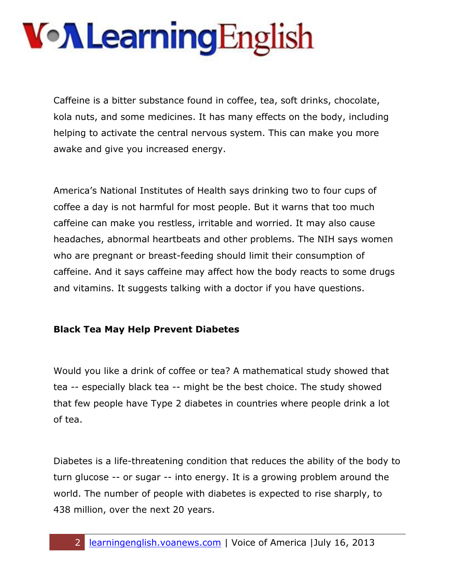Caffeine is a bitter substance found in coffee, tea, soft drinks, chocolate, kola nuts, and some medicines. It has many effects on the body, including helping to activate the central nervous system. This can make you more awake and give you increased energy.

America's National Institutes of Health says drinking two to four cups of coffee a day is not harmful for most people. But it warns that too much caffeine can make you restless, irritable and worried. It may also cause headaches, abnormal heartbeats and other problems. The NIH says women who are pregnant or breast-feeding should limit their consumption of caffeine. And it says caffeine may affect how the body reacts to some drugs and vitamins. It suggests talking with a doctor if you have questions.

#### **Black Tea May Help Prevent Diabetes**

Would you like a drink of coffee or tea? A mathematical study showed that tea -- especially black tea -- might be the best choice. The study showed that few people have Type 2 diabetes in countries where people drink a lot of tea.

Diabetes is a life-threatening condition that reduces the ability of the body to turn glucose -- or sugar -- into energy. It is a growing problem around the world. The number of people with diabetes is expected to rise sharply, to 438 million, over the next 20 years.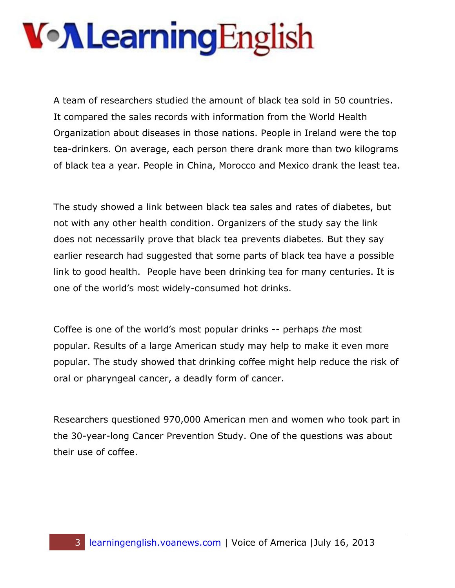A team of researchers studied the amount of black tea sold in 50 countries. It compared the sales records with information from the World Health Organization about diseases in those nations. People in Ireland were the top tea-drinkers. On average, each person there drank more than two kilograms of black tea a year. People in China, Morocco and Mexico drank the least tea.

The study showed a link between black tea sales and rates of diabetes, but not with any other health condition. Organizers of the study say the link does not necessarily prove that black tea prevents diabetes. But they say earlier research had suggested that some parts of black tea have a possible link to good health. People have been drinking tea for many centuries. It is one of the world's most widely-consumed hot drinks.

Coffee is one of the world's most popular drinks -- perhaps *the* most popular. Results of a large American study may help to make it even more popular. The study showed that drinking coffee might help reduce the risk of oral or pharyngeal cancer, a deadly form of cancer.

Researchers questioned 970,000 American men and women who took part in the 30-year-long Cancer Prevention Study. One of the questions was about their use of coffee.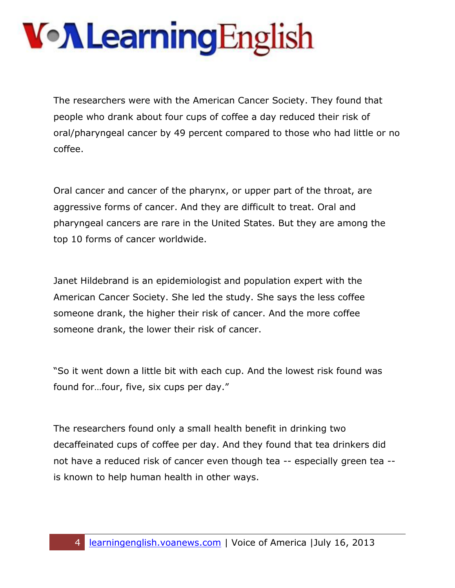The researchers were with the American Cancer Society. They found that people who drank about four cups of coffee a day reduced their risk of oral/pharyngeal cancer by 49 percent compared to those who had little or no coffee.

Oral cancer and cancer of the pharynx, or upper part of the throat, are aggressive forms of cancer. And they are difficult to treat. Oral and pharyngeal cancers are rare in the United States. But they are among the top 10 forms of cancer worldwide.

Janet Hildebrand is an epidemiologist and population expert with the American Cancer Society. She led the study. She says the less coffee someone drank, the higher their risk of cancer. And the more coffee someone drank, the lower their risk of cancer.

"So it went down a little bit with each cup. And the lowest risk found was found for…four, five, six cups per day."

The researchers found only a small health benefit in drinking two decaffeinated cups of coffee per day. And they found that tea drinkers did not have a reduced risk of cancer even though tea -- especially green tea - is known to help human health in other ways.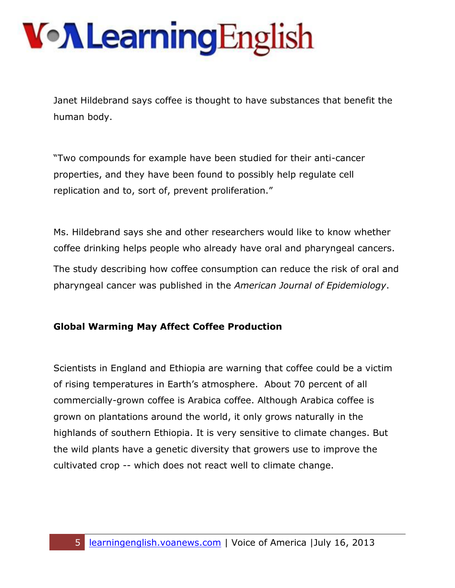Janet Hildebrand says coffee is thought to have substances that benefit the human body.

"Two compounds for example have been studied for their anti-cancer properties, and they have been found to possibly help regulate cell replication and to, sort of, prevent proliferation."

Ms. Hildebrand says she and other researchers would like to know whether coffee drinking helps people who already have oral and pharyngeal cancers. The study describing how coffee consumption can reduce the risk of oral and pharyngeal cancer was published in the *American Journal of Epidemiology*.

#### **Global Warming May Affect Coffee Production**

Scientists in England and Ethiopia are warning that coffee could be a victim of rising temperatures in Earth's atmosphere. About 70 percent of all commercially-grown coffee is Arabica coffee. Although Arabica coffee is grown on plantations around the world, it only grows naturally in the highlands of southern Ethiopia. It is very sensitive to climate changes. But the wild plants have a genetic diversity that growers use to improve the cultivated crop -- which does not react well to climate change.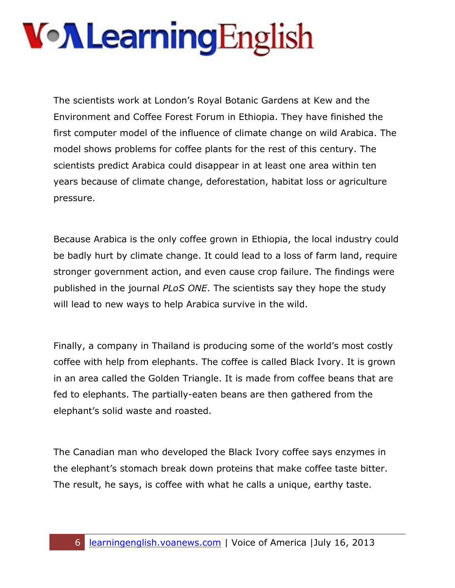The scientists work at London's Royal Botanic Gardens at Kew and the Environment and Coffee Forest Forum in Ethiopia. They have finished the first computer model of the influence of climate change on wild Arabica. The model shows problems for coffee plants for the rest of this century. The scientists predict Arabica could disappear in at least one area within ten years because of climate change, deforestation, habitat loss or agriculture pressure.

Because Arabica is the only coffee grown in Ethiopia, the local industry could be badly hurt by climate change. It could lead to a loss of farm land, require stronger government action, and even cause crop failure. The findings were published in the journal *PLoS ONE*. The scientists say they hope the study will lead to new ways to help Arabica survive in the wild.

Finally, a company in Thailand is producing some of the world's most costly coffee with help from elephants. The coffee is called Black Ivory. It is grown in an area called the Golden Triangle. It is made from coffee beans that are fed to elephants. The partially-eaten beans are then gathered from the elephant's solid waste and roasted.

The Canadian man who developed the Black Ivory coffee says enzymes in the elephant's stomach break down proteins that make coffee taste bitter. The result, he says, is coffee with what he calls a unique, earthy taste.